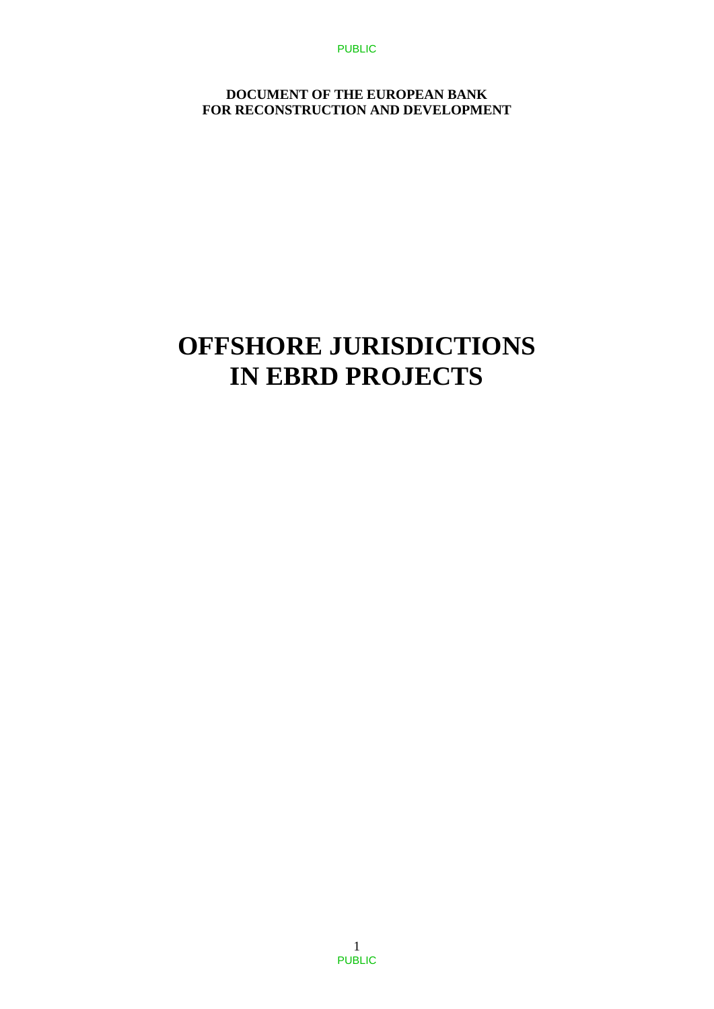PUBLIC

**DOCUMENT OF THE EUROPEAN BANK FOR RECONSTRUCTION AND DEVELOPMENT**

# **OFFSHORE JURISDICTIONS IN EBRD PROJECTS**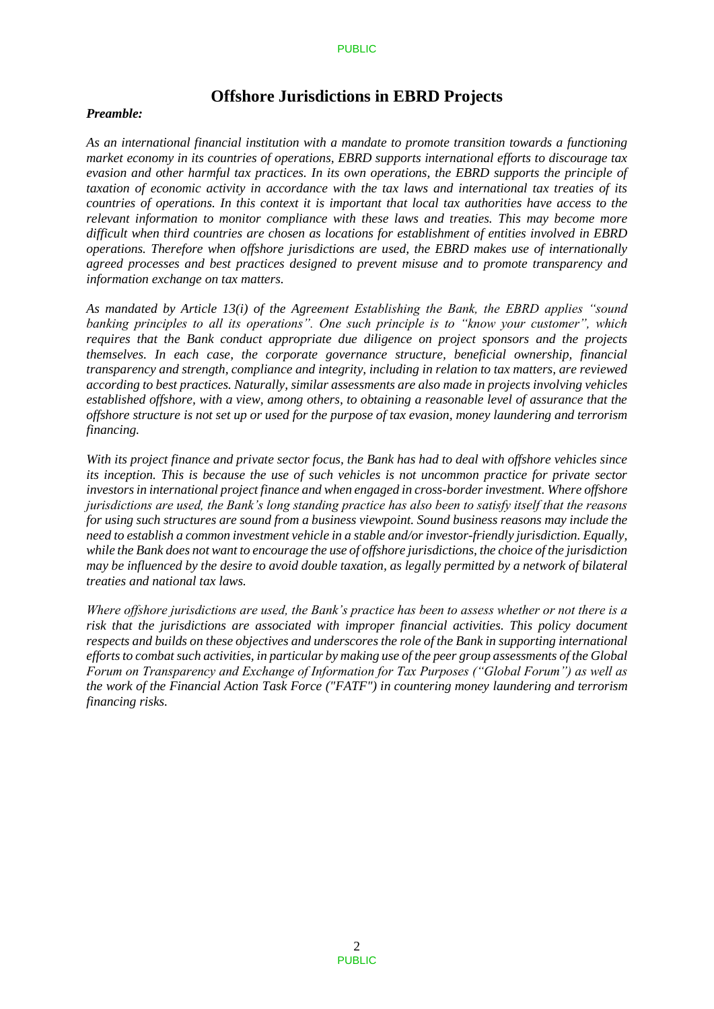# **Offshore Jurisdictions in EBRD Projects**

### *Preamble:*

*As an international financial institution with a mandate to promote transition towards a functioning market economy in its countries of operations, EBRD supports international efforts to discourage tax evasion and other harmful tax practices. In its own operations, the EBRD supports the principle of taxation of economic activity in accordance with the tax laws and international tax treaties of its countries of operations. In this context it is important that local tax authorities have access to the relevant information to monitor compliance with these laws and treaties. This may become more difficult when third countries are chosen as locations for establishment of entities involved in EBRD operations. Therefore when offshore jurisdictions are used, the EBRD makes use of internationally agreed processes and best practices designed to prevent misuse and to promote transparency and information exchange on tax matters.* 

*As mandated by Article 13(i) of the Agreement Establishing the Bank, the EBRD applies "sound banking principles to all its operations". One such principle is to "know your customer", which requires that the Bank conduct appropriate due diligence on project sponsors and the projects themselves. In each case, the corporate governance structure, beneficial ownership, financial transparency and strength, compliance and integrity, including in relation to tax matters, are reviewed according to best practices. Naturally, similar assessments are also made in projects involving vehicles established offshore, with a view, among others, to obtaining a reasonable level of assurance that the offshore structure is not set up or used for the purpose of tax evasion, money laundering and terrorism financing.* 

*With its project finance and private sector focus, the Bank has had to deal with offshore vehicles since its inception. This is because the use of such vehicles is not uncommon practice for private sector investors in international project finance and when engaged in cross-border investment. Where offshore jurisdictions are used, the Bank's long standing practice has also been to satisfy itself that the reasons for using such structures are sound from a business viewpoint. Sound business reasons may include the need to establish a common investment vehicle in a stable and/or investor-friendly jurisdiction. Equally, while the Bank does not want to encourage the use of offshore jurisdictions, the choice of the jurisdiction may be influenced by the desire to avoid double taxation, as legally permitted by a network of bilateral treaties and national tax laws.* 

*Where offshore jurisdictions are used, the Bank's practice has been to assess whether or not there is a risk that the jurisdictions are associated with improper financial activities. This policy document respects and builds on these objectives and underscores the role of the Bank in supporting international efforts to combat such activities, in particular by making use of the peer group assessments of the Global Forum on Transparency and Exchange of Information for Tax Purposes ("Global Forum") as well as the work of the Financial Action Task Force ("FATF") in countering money laundering and terrorism financing risks.*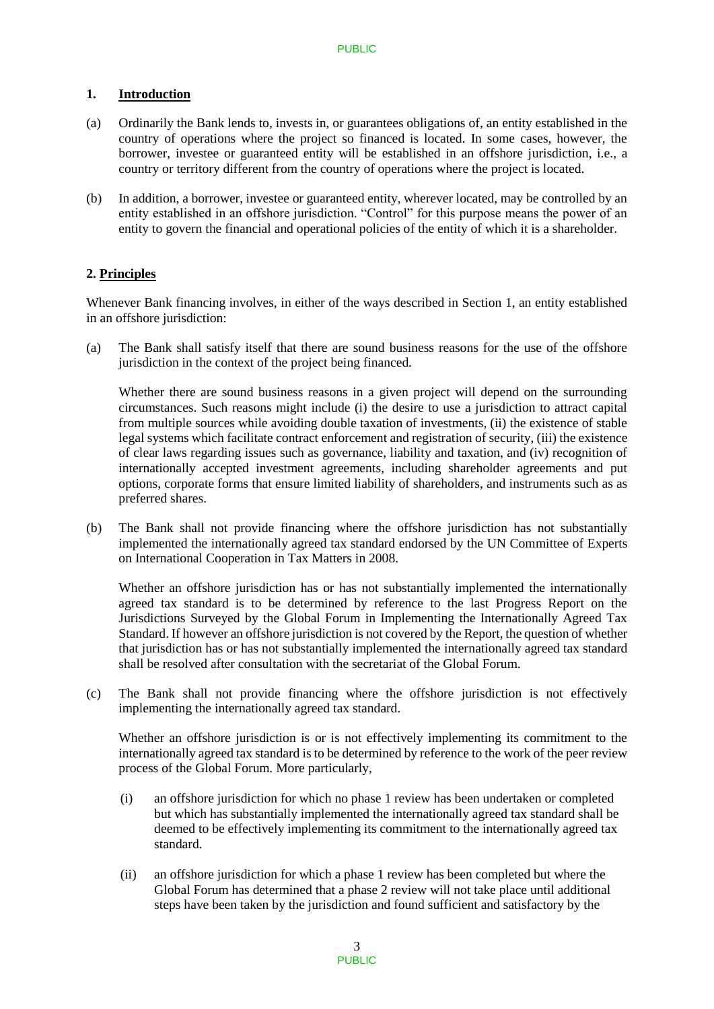# 1. **Introduction**

- (a) Ordinarily the Bank lends to, invests in, or guarantees obligations of, an entity established in the country of operations where the project so financed is located. In some cases, however, the borrower, investee or guaranteed entity will be established in an offshore jurisdiction, i.e., a country or territory different from the country of operations where the project is located.
- (b) In addition, a borrower, investee or guaranteed entity, wherever located, may be controlled by an entity established in an offshore jurisdiction. "Control" for this purpose means the power of an entity to govern the financial and operational policies of the entity of which it is a shareholder.

# **2. Principles**

Whenever Bank financing involves, in either of the ways described in Section 1, an entity established in an offshore jurisdiction:

(a) The Bank shall satisfy itself that there are sound business reasons for the use of the offshore jurisdiction in the context of the project being financed.

Whether there are sound business reasons in a given project will depend on the surrounding circumstances. Such reasons might include (i) the desire to use a jurisdiction to attract capital from multiple sources while avoiding double taxation of investments, (ii) the existence of stable legal systems which facilitate contract enforcement and registration of security, (iii) the existence of clear laws regarding issues such as governance, liability and taxation, and (iv) recognition of internationally accepted investment agreements, including shareholder agreements and put options, corporate forms that ensure limited liability of shareholders, and instruments such as as preferred shares.

(b) The Bank shall not provide financing where the offshore jurisdiction has not substantially implemented the internationally agreed tax standard endorsed by the UN Committee of Experts on International Cooperation in Tax Matters in 2008.

Whether an offshore jurisdiction has or has not substantially implemented the internationally agreed tax standard is to be determined by reference to the last Progress Report on the Jurisdictions Surveyed by the Global Forum in Implementing the Internationally Agreed Tax Standard. If however an offshore jurisdiction is not covered by the Report, the question of whether that jurisdiction has or has not substantially implemented the internationally agreed tax standard shall be resolved after consultation with the secretariat of the Global Forum.

(c) The Bank shall not provide financing where the offshore jurisdiction is not effectively implementing the internationally agreed tax standard.

Whether an offshore jurisdiction is or is not effectively implementing its commitment to the internationally agreed tax standard is to be determined by reference to the work of the peer review process of the Global Forum. More particularly,

- (i) an offshore jurisdiction for which no phase 1 review has been undertaken or completed but which has substantially implemented the internationally agreed tax standard shall be deemed to be effectively implementing its commitment to the internationally agreed tax standard.
- (ii) an offshore jurisdiction for which a phase 1 review has been completed but where the Global Forum has determined that a phase 2 review will not take place until additional steps have been taken by the jurisdiction and found sufficient and satisfactory by the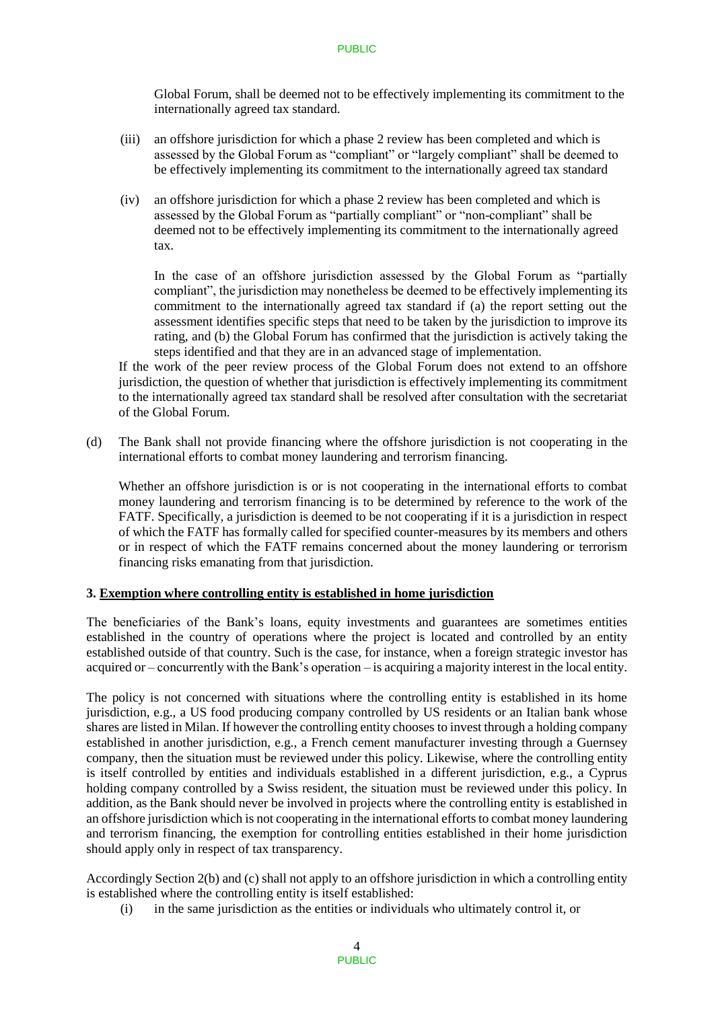Global Forum, shall be deemed not to be effectively implementing its commitment to the internationally agreed tax standard.

- (iii) an offshore jurisdiction for which a phase 2 review has been completed and which is assessed by the Global Forum as "compliant" or "largely compliant" shall be deemed to be effectively implementing its commitment to the internationally agreed tax standard
- (iv) an offshore jurisdiction for which a phase 2 review has been completed and which is assessed by the Global Forum as "partially compliant" or "non-compliant" shall be deemed not to be effectively implementing its commitment to the internationally agreed tax.

In the case of an offshore jurisdiction assessed by the Global Forum as "partially compliant", the jurisdiction may nonetheless be deemed to be effectively implementing its commitment to the internationally agreed tax standard if (a) the report setting out the assessment identifies specific steps that need to be taken by the jurisdiction to improve its rating, and (b) the Global Forum has confirmed that the jurisdiction is actively taking the steps identified and that they are in an advanced stage of implementation.

If the work of the peer review process of the Global Forum does not extend to an offshore jurisdiction, the question of whether that jurisdiction is effectively implementing its commitment to the internationally agreed tax standard shall be resolved after consultation with the secretariat of the Global Forum.

(d) The Bank shall not provide financing where the offshore jurisdiction is not cooperating in the international efforts to combat money laundering and terrorism financing.

Whether an offshore jurisdiction is or is not cooperating in the international efforts to combat money laundering and terrorism financing is to be determined by reference to the work of the FATF. Specifically, a jurisdiction is deemed to be not cooperating if it is a jurisdiction in respect of which the FATF has formally called for specified counter-measures by its members and others or in respect of which the FATF remains concerned about the money laundering or terrorism financing risks emanating from that jurisdiction.

# **3. Exemption where controlling entity is established in home jurisdiction**

The beneficiaries of the Bank's loans, equity investments and guarantees are sometimes entities established in the country of operations where the project is located and controlled by an entity established outside of that country. Such is the case, for instance, when a foreign strategic investor has acquired or – concurrently with the Bank's operation – is acquiring a majority interest in the local entity.

The policy is not concerned with situations where the controlling entity is established in its home jurisdiction, e.g., a US food producing company controlled by US residents or an Italian bank whose shares are listed in Milan. If however the controlling entity chooses to invest through a holding company established in another jurisdiction, e.g., a French cement manufacturer investing through a Guernsey company, then the situation must be reviewed under this policy. Likewise, where the controlling entity is itself controlled by entities and individuals established in a different jurisdiction, e.g., a Cyprus holding company controlled by a Swiss resident, the situation must be reviewed under this policy. In addition, as the Bank should never be involved in projects where the controlling entity is established in an offshore jurisdiction which is not cooperating in the international efforts to combat money laundering and terrorism financing, the exemption for controlling entities established in their home jurisdiction should apply only in respect of tax transparency.

Accordingly Section 2(b) and (c) shall not apply to an offshore jurisdiction in which a controlling entity is established where the controlling entity is itself established:

(i) in the same jurisdiction as the entities or individuals who ultimately control it, or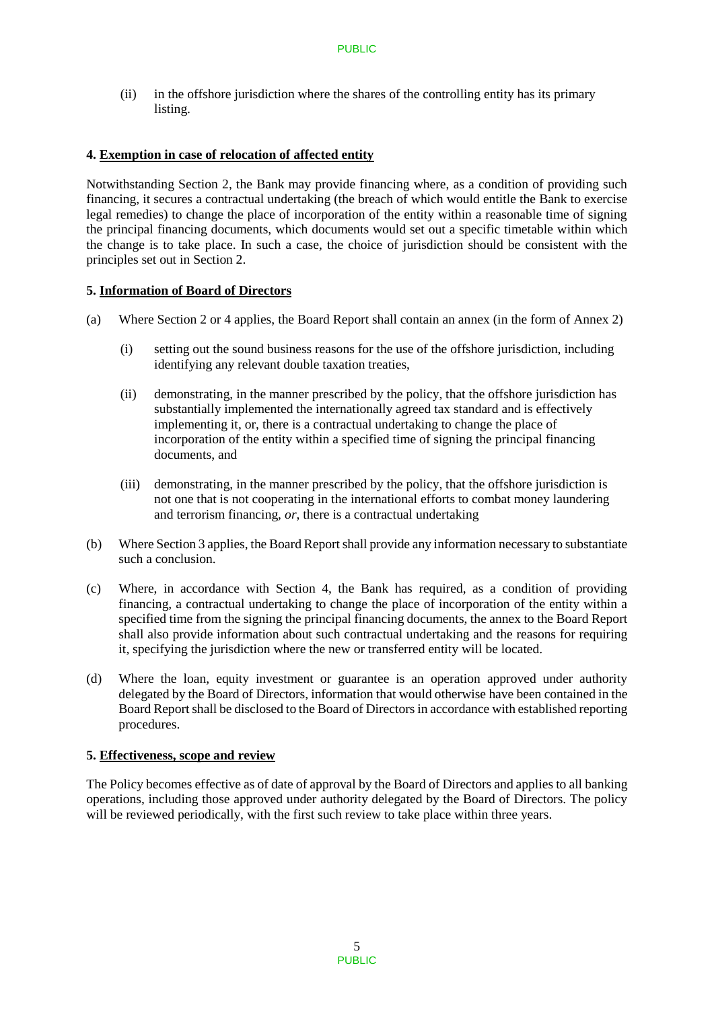(ii) in the offshore jurisdiction where the shares of the controlling entity has its primary listing.

# **4. Exemption in case of relocation of affected entity**

Notwithstanding Section 2, the Bank may provide financing where, as a condition of providing such financing, it secures a contractual undertaking (the breach of which would entitle the Bank to exercise legal remedies) to change the place of incorporation of the entity within a reasonable time of signing the principal financing documents, which documents would set out a specific timetable within which the change is to take place. In such a case, the choice of jurisdiction should be consistent with the principles set out in Section 2.

# **5. Information of Board of Directors**

- (a) Where Section 2 or 4 applies, the Board Report shall contain an annex (in the form of Annex 2)
	- (i) setting out the sound business reasons for the use of the offshore jurisdiction, including identifying any relevant double taxation treaties,
	- (ii) demonstrating, in the manner prescribed by the policy, that the offshore jurisdiction has substantially implemented the internationally agreed tax standard and is effectively implementing it, or, there is a contractual undertaking to change the place of incorporation of the entity within a specified time of signing the principal financing documents, and
	- (iii) demonstrating, in the manner prescribed by the policy, that the offshore jurisdiction is not one that is not cooperating in the international efforts to combat money laundering and terrorism financing, *or*, there is a contractual undertaking
- (b) Where Section 3 applies, the Board Report shall provide any information necessary to substantiate such a conclusion.
- (c) Where, in accordance with Section 4, the Bank has required, as a condition of providing financing, a contractual undertaking to change the place of incorporation of the entity within a specified time from the signing the principal financing documents, the annex to the Board Report shall also provide information about such contractual undertaking and the reasons for requiring it, specifying the jurisdiction where the new or transferred entity will be located.
- (d) Where the loan, equity investment or guarantee is an operation approved under authority delegated by the Board of Directors, information that would otherwise have been contained in the Board Report shall be disclosed to the Board of Directors in accordance with established reporting procedures.

# **5. Effectiveness, scope and review**

The Policy becomes effective as of date of approval by the Board of Directors and applies to all banking operations, including those approved under authority delegated by the Board of Directors. The policy will be reviewed periodically, with the first such review to take place within three years.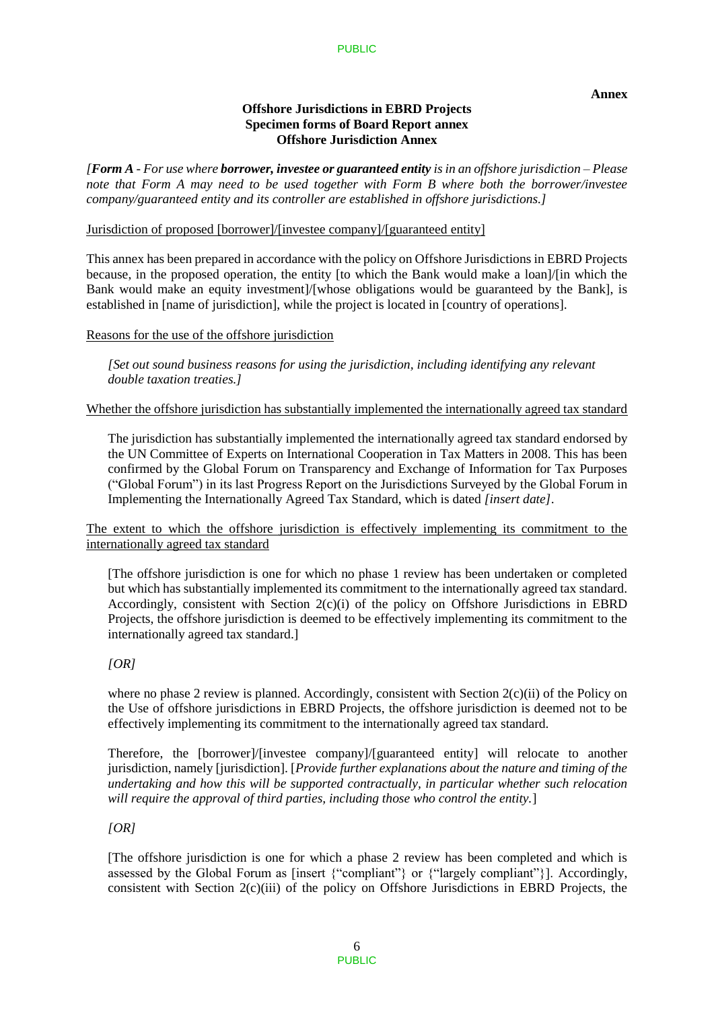**Annex** 

# **Offshore Jurisdictions in EBRD Projects Specimen forms of Board Report annex Offshore Jurisdiction Annex**

*[Form A - For use where borrower, investee or guaranteed entity is in an offshore jurisdiction – Please note that Form A may need to be used together with Form B where both the borrower/investee company/guaranteed entity and its controller are established in offshore jurisdictions.]* 

# Jurisdiction of proposed [borrower]/[investee company]/[guaranteed entity]

This annex has been prepared in accordance with the policy on Offshore Jurisdictions in EBRD Projects because, in the proposed operation, the entity [to which the Bank would make a loan]/[in which the Bank would make an equity investment]/[whose obligations would be guaranteed by the Bank], is established in [name of jurisdiction], while the project is located in [country of operations].

#### Reasons for the use of the offshore jurisdiction

*[Set out sound business reasons for using the jurisdiction, including identifying any relevant double taxation treaties.]* 

#### Whether the offshore jurisdiction has substantially implemented the internationally agreed tax standard

The jurisdiction has substantially implemented the internationally agreed tax standard endorsed by the UN Committee of Experts on International Cooperation in Tax Matters in 2008. This has been confirmed by the Global Forum on Transparency and Exchange of Information for Tax Purposes ("Global Forum") in its last Progress Report on the Jurisdictions Surveyed by the Global Forum in Implementing the Internationally Agreed Tax Standard, which is dated *[insert date]*.

# The extent to which the offshore jurisdiction is effectively implementing its commitment to the internationally agreed tax standard

[The offshore jurisdiction is one for which no phase 1 review has been undertaken or completed but which has substantially implemented its commitment to the internationally agreed tax standard. Accordingly, consistent with Section  $2(c)(i)$  of the policy on Offshore Jurisdictions in EBRD Projects, the offshore jurisdiction is deemed to be effectively implementing its commitment to the internationally agreed tax standard.]

# *[OR]*

where no phase 2 review is planned. Accordingly, consistent with Section  $2(c)(ii)$  of the Policy on the Use of offshore jurisdictions in EBRD Projects, the offshore jurisdiction is deemed not to be effectively implementing its commitment to the internationally agreed tax standard.

Therefore, the [borrower]/[investee company]/[guaranteed entity] will relocate to another jurisdiction, namely [jurisdiction]. [*Provide further explanations about the nature and timing of the undertaking and how this will be supported contractually, in particular whether such relocation will require the approval of third parties, including those who control the entity.*]

#### *[OR]*

[The offshore jurisdiction is one for which a phase 2 review has been completed and which is assessed by the Global Forum as [insert {"compliant"} or {"largely compliant"}]. Accordingly, consistent with Section 2(c)(iii) of the policy on Offshore Jurisdictions in EBRD Projects, the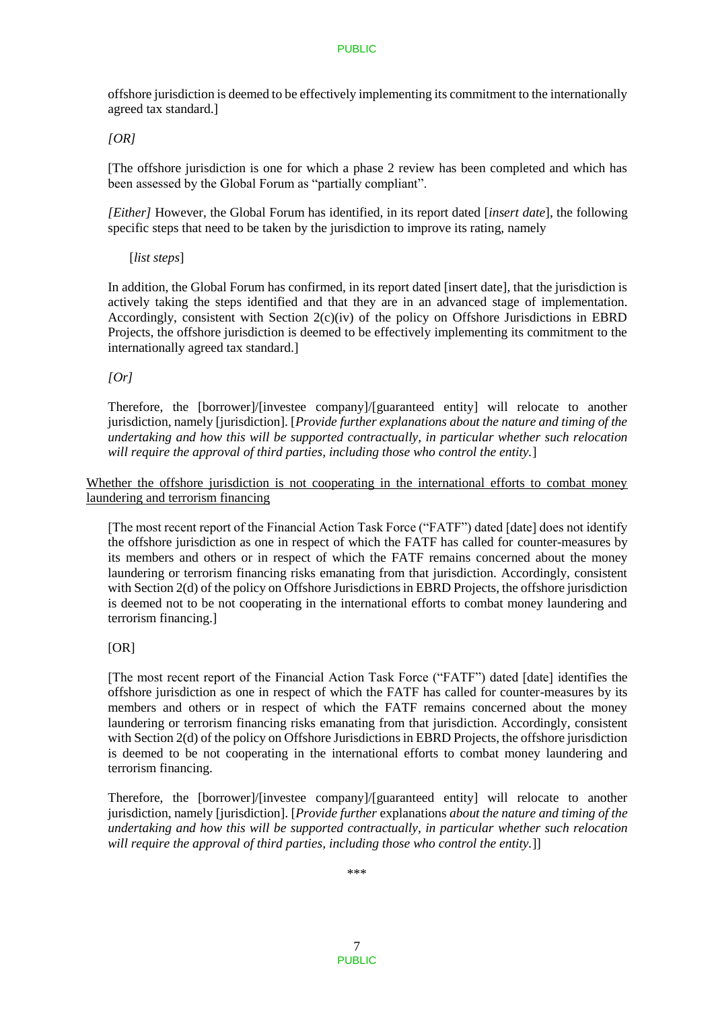offshore jurisdiction is deemed to be effectively implementing its commitment to the internationally agreed tax standard.]

*[OR]* 

[The offshore jurisdiction is one for which a phase 2 review has been completed and which has been assessed by the Global Forum as "partially compliant".

*[Either]* However, the Global Forum has identified, in its report dated [*insert date*], the following specific steps that need to be taken by the jurisdiction to improve its rating, namely

[*list steps*]

In addition, the Global Forum has confirmed, in its report dated [insert date], that the jurisdiction is actively taking the steps identified and that they are in an advanced stage of implementation. Accordingly, consistent with Section 2(c)(iv) of the policy on Offshore Jurisdictions in EBRD Projects, the offshore jurisdiction is deemed to be effectively implementing its commitment to the internationally agreed tax standard.]

*[Or]* 

Therefore, the [borrower]/[investee company]/[guaranteed entity] will relocate to another jurisdiction, namely [jurisdiction]. [*Provide further explanations about the nature and timing of the undertaking and how this will be supported contractually, in particular whether such relocation will require the approval of third parties, including those who control the entity.*]

Whether the offshore jurisdiction is not cooperating in the international efforts to combat money laundering and terrorism financing

[The most recent report of the Financial Action Task Force ("FATF") dated [date] does not identify the offshore jurisdiction as one in respect of which the FATF has called for counter-measures by its members and others or in respect of which the FATF remains concerned about the money laundering or terrorism financing risks emanating from that jurisdiction. Accordingly, consistent with Section 2(d) of the policy on Offshore Jurisdictions in EBRD Projects, the offshore jurisdiction is deemed not to be not cooperating in the international efforts to combat money laundering and terrorism financing.]

#### $[OR]$

[The most recent report of the Financial Action Task Force ("FATF") dated [date] identifies the offshore jurisdiction as one in respect of which the FATF has called for counter-measures by its members and others or in respect of which the FATF remains concerned about the money laundering or terrorism financing risks emanating from that jurisdiction. Accordingly, consistent with Section 2(d) of the policy on Offshore Jurisdictions in EBRD Projects, the offshore jurisdiction is deemed to be not cooperating in the international efforts to combat money laundering and terrorism financing.

Therefore, the [borrower]/[investee company]/[guaranteed entity] will relocate to another jurisdiction, namely [jurisdiction]. [*Provide further* explanations *about the nature and timing of the undertaking and how this will be supported contractually, in particular whether such relocation will require the approval of third parties, including those who control the entity.*]]

\*\*\*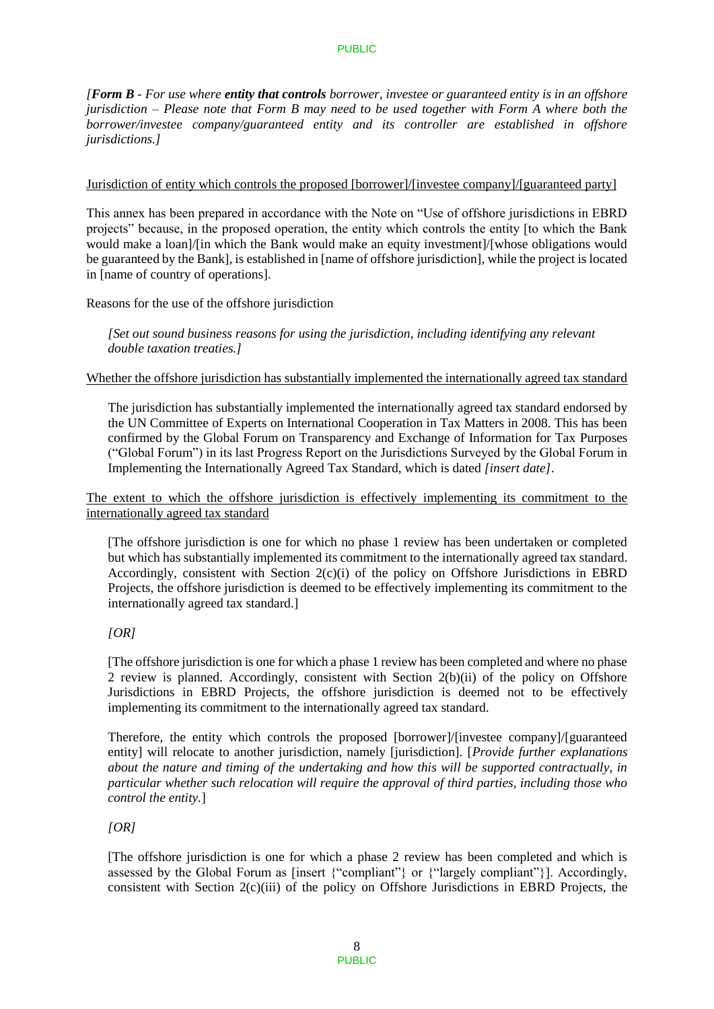*[Form B - For use where entity that controls borrower, investee or guaranteed entity is in an offshore jurisdiction – Please note that Form B may need to be used together with Form A where both the borrower/investee company/guaranteed entity and its controller are established in offshore jurisdictions.]* 

### Jurisdiction of entity which controls the proposed [borrower]/[investee company]/[guaranteed party]

This annex has been prepared in accordance with the Note on "Use of offshore jurisdictions in EBRD projects" because, in the proposed operation, the entity which controls the entity [to which the Bank would make a loan $/$ [in which the Bank would make an equity investment]/[whose obligations would be guaranteed by the Bank], is established in [name of offshore jurisdiction], while the project is located in [name of country of operations].

Reasons for the use of the offshore jurisdiction

*[Set out sound business reasons for using the jurisdiction, including identifying any relevant double taxation treaties.]* 

#### Whether the offshore jurisdiction has substantially implemented the internationally agreed tax standard

The jurisdiction has substantially implemented the internationally agreed tax standard endorsed by the UN Committee of Experts on International Cooperation in Tax Matters in 2008. This has been confirmed by the Global Forum on Transparency and Exchange of Information for Tax Purposes ("Global Forum") in its last Progress Report on the Jurisdictions Surveyed by the Global Forum in Implementing the Internationally Agreed Tax Standard, which is dated *[insert date]*.

The extent to which the offshore jurisdiction is effectively implementing its commitment to the internationally agreed tax standard

[The offshore jurisdiction is one for which no phase 1 review has been undertaken or completed but which has substantially implemented its commitment to the internationally agreed tax standard. Accordingly, consistent with Section 2(c)(i) of the policy on Offshore Jurisdictions in EBRD Projects, the offshore jurisdiction is deemed to be effectively implementing its commitment to the internationally agreed tax standard.]

# *[OR]*

[The offshore jurisdiction is one for which a phase 1 review has been completed and where no phase 2 review is planned. Accordingly, consistent with Section 2(b)(ii) of the policy on Offshore Jurisdictions in EBRD Projects, the offshore jurisdiction is deemed not to be effectively implementing its commitment to the internationally agreed tax standard.

Therefore, the entity which controls the proposed [borrower]/[investee company]/[guaranteed entity] will relocate to another jurisdiction, namely [jurisdiction]. [*Provide further explanations about the nature and timing of the undertaking and how this will be supported contractually, in particular whether such relocation will require the approval of third parties, including those who control the entity.*]

# *[OR]*

[The offshore jurisdiction is one for which a phase 2 review has been completed and which is assessed by the Global Forum as [insert {"compliant"} or {"largely compliant"}]. Accordingly, consistent with Section 2(c)(iii) of the policy on Offshore Jurisdictions in EBRD Projects, the